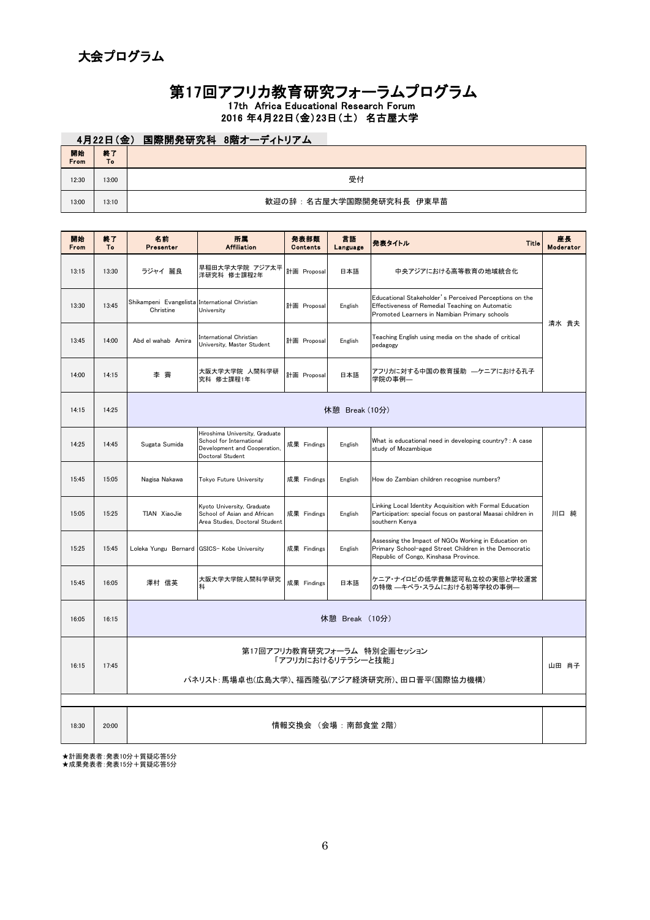## 17th Africa Educational Research Forum

## 2016 年4月22日(金)23日(土) 名古屋大学

| 第17回アフリカ教育研究フォーラムプログラム<br>17th Africa Educational Research Forum<br>2016年4月22日(金)23日(土) 名古屋大学 |                             |                         |                          |                         |                |        |              |                 |
|-----------------------------------------------------------------------------------------------|-----------------------------|-------------------------|--------------------------|-------------------------|----------------|--------|--------------|-----------------|
|                                                                                               | 4月22日(金) 国際開発研究科 8階オーディトリアム |                         |                          |                         |                |        |              |                 |
| 開始<br>From                                                                                    | 終了<br>To                    |                         |                          |                         |                |        |              |                 |
| 12:30                                                                                         | 13:00                       | 受付                      |                          |                         |                |        |              |                 |
| 13:00                                                                                         | 13:10                       | 歓迎の辞:名古屋大学国際開発研究科長 伊東早苗 |                          |                         |                |        |              |                 |
|                                                                                               |                             |                         |                          |                         |                |        |              |                 |
| 開始<br>From                                                                                    | 終了<br>To                    | 名前<br>Presenter         | 所属<br><b>Affiliation</b> | 発表部類<br><b>Contents</b> | 言語<br>Language | 発表タイトル | <b>Title</b> | 座長<br>Moderator |
|                                                                                               |                             |                         |                          |                         |                |        |              |                 |

| 開始<br>From | 終了<br>To | 名前<br>Presenter                                             | 所属<br><b>Affiliation</b>                                                                                                                                                                           | 発表部類<br><b>Contents</b> | 言語<br>Language | 発表タイトル<br><b>Title</b>                                                                                                                                 | 座長<br>Moderator |  |  |  |
|------------|----------|-------------------------------------------------------------|----------------------------------------------------------------------------------------------------------------------------------------------------------------------------------------------------|-------------------------|----------------|--------------------------------------------------------------------------------------------------------------------------------------------------------|-----------------|--|--|--|
| 13:15      | 13:30    | ラジャイ 麗良                                                     | 早稲田大学大学院 アジア太平<br>洋研究科 修士課程2年                                                                                                                                                                      | 計画 Proposal             | 日本語            | 中央アジアにおける高等教育の地域統合化                                                                                                                                    |                 |  |  |  |
| 13:30      | 13:45    | Shikampeni Evangelista International Christian<br>Christine | Educational Stakeholder's Perceived Perceptions on the<br>計画 Proposal<br>Effectiveness of Remedial Teaching on Automatic<br>English<br>University<br>Promoted Learners in Namibian Primary schools |                         |                |                                                                                                                                                        |                 |  |  |  |
| 13:45      | 14:00    | Abd el wahab Amira                                          | International Christian<br>University, Master Student                                                                                                                                              | 計画 Proposal             | English        | Teaching English using media on the shade of critical<br>pedagogy                                                                                      | 清水 貴夫           |  |  |  |
| 14:00      | 14:15    | 李 霽                                                         | 大阪大学大学院 人間科学研<br>究科 修士課程1年                                                                                                                                                                         | 計画 Proposal             | 日本語            | アフリカに対する中国の教育援助 ―ケニアにおける孔子<br>学院の事例―                                                                                                                   |                 |  |  |  |
| 14:15      | 14:25    | 休憩 Break (10分)                                              |                                                                                                                                                                                                    |                         |                |                                                                                                                                                        |                 |  |  |  |
| 14:25      | 14:45    | Sugata Sumida                                               | Hiroshima University, Graduate<br>School for International<br>Development and Cooperation,<br>Doctoral Student                                                                                     | 成果 Findings             | English        | What is educational need in developing country? : A case<br>study of Mozambique                                                                        |                 |  |  |  |
| 15:45      | 15:05    | Nagisa Nakawa                                               | Tokyo Future University                                                                                                                                                                            | 成果 Findings             | English        | How do Zambian children recognise numbers?                                                                                                             |                 |  |  |  |
| 15:05      | 15:25    | TIAN XiaoJie                                                | Kyoto University, Graduate<br>School of Asian and African<br>Area Studies, Doctoral Student                                                                                                        | 成果 Findings             | English        | Linking Local Identity Acquisition with Formal Education<br>Participation: special focus on pastoral Maasai children in<br>southern Kenya              | 川口 純            |  |  |  |
| 15:25      | 15:45    | Loleka Yungu Bernard GSICS- Kobe University                 |                                                                                                                                                                                                    | 成果 Findings             | English        | Assessing the Impact of NGOs Working in Education on<br>Primary School-aged Street Children in the Democratic<br>Republic of Congo, Kinshasa Province. |                 |  |  |  |
| 15:45      | 16:05    | 澤村 信英                                                       | 大阪大学大学院人間科学研究<br>科                                                                                                                                                                                 | 成果 Findings             | 日本語            | ケニア・ナイロビの低学費無認可私立校の実態と学校運営<br>の特徴 ―キベラ・スラムにおける初等学校の事例―                                                                                                 |                 |  |  |  |
| 16:05      | 16:15    | 休憩 Break (10分)                                              |                                                                                                                                                                                                    |                         |                |                                                                                                                                                        |                 |  |  |  |
| 16:15      | 17:45    | 第17回アフリカ教育研究フォーラム 特別企画セッション<br>「アフリカにおけるリテラシーと技能」           |                                                                                                                                                                                                    |                         |                |                                                                                                                                                        |                 |  |  |  |
|            |          |                                                             |                                                                                                                                                                                                    |                         |                | パネリスト:馬場卓也(広島大学)、福西隆弘(アジア経済研究所)、田口晋平(国際協力機構)                                                                                                           |                 |  |  |  |
|            |          |                                                             |                                                                                                                                                                                                    |                         |                |                                                                                                                                                        |                 |  |  |  |
| 18:30      | 20:00    | 情報交換会 (会場 : 南部食堂 2階)                                        |                                                                                                                                                                                                    |                         |                |                                                                                                                                                        |                 |  |  |  |

★計画発表者:発表10分+質疑応答5分 ★成果発表者:発表15分+質疑応答5分